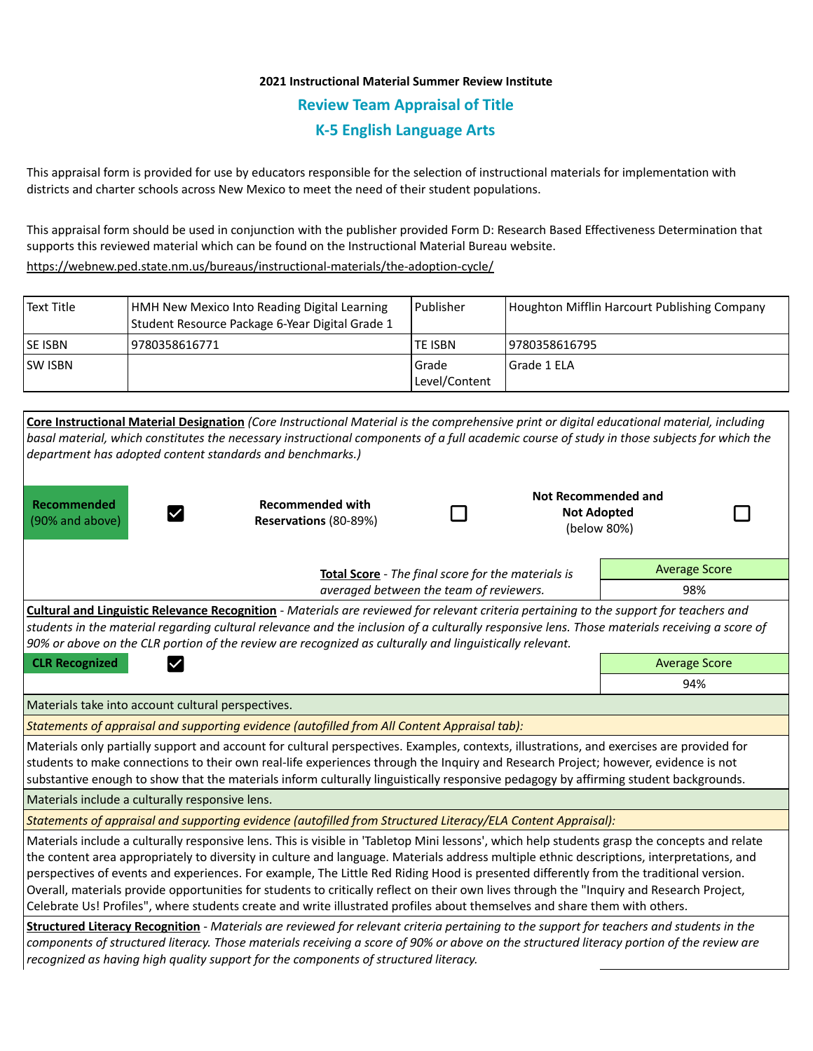# **2021 Instructional Material Summer Review Institute Review Team Appraisal of Title K-5 English Language Arts**

This appraisal form is provided for use by educators responsible for the selection of instructional materials for implementation with districts and charter schools across New Mexico to meet the need of their student populations.

This appraisal form should be used in conjunction with the publisher provided Form D: Research Based Effectiveness Determination that supports this reviewed material which can be found on the Instructional Material Bureau website.

<https://webnew.ped.state.nm.us/bureaus/instructional-materials/the-adoption-cycle/>

| l Text Title    | HMH New Mexico Into Reading Digital Learning<br>Student Resource Package 6-Year Digital Grade 1 | Publisher                | Houghton Mifflin Harcourt Publishing Company |
|-----------------|-------------------------------------------------------------------------------------------------|--------------------------|----------------------------------------------|
| <b>ISE ISBN</b> | 9780358616771                                                                                   | ITE ISBN                 | 19780358616795                               |
| ISW ISBN        |                                                                                                 | l Grade<br>Level/Content | Grade 1 ELA                                  |

|                                                                                                                                                                                                                                                                                                                                                                                                                         | Core Instructional Material Designation (Core Instructional Material is the comprehensive print or digital educational material, including<br>basal material, which constitutes the necessary instructional components of a full academic course of study in those subjects for which the                                                                                                                                                                                                                                                                                                                                                                                                                       |  |                                                                 |                      |  |  |
|-------------------------------------------------------------------------------------------------------------------------------------------------------------------------------------------------------------------------------------------------------------------------------------------------------------------------------------------------------------------------------------------------------------------------|-----------------------------------------------------------------------------------------------------------------------------------------------------------------------------------------------------------------------------------------------------------------------------------------------------------------------------------------------------------------------------------------------------------------------------------------------------------------------------------------------------------------------------------------------------------------------------------------------------------------------------------------------------------------------------------------------------------------|--|-----------------------------------------------------------------|----------------------|--|--|
| department has adopted content standards and benchmarks.)                                                                                                                                                                                                                                                                                                                                                               |                                                                                                                                                                                                                                                                                                                                                                                                                                                                                                                                                                                                                                                                                                                 |  |                                                                 |                      |  |  |
| <b>Recommended</b><br>$\checkmark$<br>(90% and above)                                                                                                                                                                                                                                                                                                                                                                   | <b>Recommended with</b><br>Reservations (80-89%)                                                                                                                                                                                                                                                                                                                                                                                                                                                                                                                                                                                                                                                                |  | <b>Not Recommended and</b><br><b>Not Adopted</b><br>(below 80%) |                      |  |  |
|                                                                                                                                                                                                                                                                                                                                                                                                                         | <b>Average Score</b><br>Total Score - The final score for the materials is                                                                                                                                                                                                                                                                                                                                                                                                                                                                                                                                                                                                                                      |  |                                                                 |                      |  |  |
| averaged between the team of reviewers.                                                                                                                                                                                                                                                                                                                                                                                 |                                                                                                                                                                                                                                                                                                                                                                                                                                                                                                                                                                                                                                                                                                                 |  |                                                                 | 98%                  |  |  |
|                                                                                                                                                                                                                                                                                                                                                                                                                         | Cultural and Linguistic Relevance Recognition - Materials are reviewed for relevant criteria pertaining to the support for teachers and<br>students in the material regarding cultural relevance and the inclusion of a culturally responsive lens. Those materials receiving a score of<br>90% or above on the CLR portion of the review are recognized as culturally and linguistically relevant.                                                                                                                                                                                                                                                                                                             |  |                                                                 |                      |  |  |
| <b>CLR Recognized</b>                                                                                                                                                                                                                                                                                                                                                                                                   |                                                                                                                                                                                                                                                                                                                                                                                                                                                                                                                                                                                                                                                                                                                 |  |                                                                 | <b>Average Score</b> |  |  |
|                                                                                                                                                                                                                                                                                                                                                                                                                         |                                                                                                                                                                                                                                                                                                                                                                                                                                                                                                                                                                                                                                                                                                                 |  |                                                                 | 94%                  |  |  |
| Materials take into account cultural perspectives.                                                                                                                                                                                                                                                                                                                                                                      |                                                                                                                                                                                                                                                                                                                                                                                                                                                                                                                                                                                                                                                                                                                 |  |                                                                 |                      |  |  |
|                                                                                                                                                                                                                                                                                                                                                                                                                         | Statements of appraisal and supporting evidence (autofilled from All Content Appraisal tab):                                                                                                                                                                                                                                                                                                                                                                                                                                                                                                                                                                                                                    |  |                                                                 |                      |  |  |
| Materials only partially support and account for cultural perspectives. Examples, contexts, illustrations, and exercises are provided for<br>students to make connections to their own real-life experiences through the Inquiry and Research Project; however, evidence is not<br>substantive enough to show that the materials inform culturally linguistically responsive pedagogy by affirming student backgrounds. |                                                                                                                                                                                                                                                                                                                                                                                                                                                                                                                                                                                                                                                                                                                 |  |                                                                 |                      |  |  |
| Materials include a culturally responsive lens.                                                                                                                                                                                                                                                                                                                                                                         |                                                                                                                                                                                                                                                                                                                                                                                                                                                                                                                                                                                                                                                                                                                 |  |                                                                 |                      |  |  |
| Statements of appraisal and supporting evidence (autofilled from Structured Literacy/ELA Content Appraisal):                                                                                                                                                                                                                                                                                                            |                                                                                                                                                                                                                                                                                                                                                                                                                                                                                                                                                                                                                                                                                                                 |  |                                                                 |                      |  |  |
|                                                                                                                                                                                                                                                                                                                                                                                                                         | Materials include a culturally responsive lens. This is visible in 'Tabletop Mini lessons', which help students grasp the concepts and relate<br>the content area appropriately to diversity in culture and language. Materials address multiple ethnic descriptions, interpretations, and<br>perspectives of events and experiences. For example, The Little Red Riding Hood is presented differently from the traditional version.<br>Overall, materials provide opportunities for students to critically reflect on their own lives through the "Inquiry and Research Project,<br>Celebrate Us! Profiles", where students create and write illustrated profiles about themselves and share them with others. |  |                                                                 |                      |  |  |
|                                                                                                                                                                                                                                                                                                                                                                                                                         | Structured Literacy Recognition - Materials are reviewed for relevant criteria pertaining to the support for teachers and students in the<br>components of structured literacy. Those materials receiving a score of 90% or above on the structured literacy portion of the review are<br>recognized as having high quality support for the components of structured literacy.                                                                                                                                                                                                                                                                                                                                  |  |                                                                 |                      |  |  |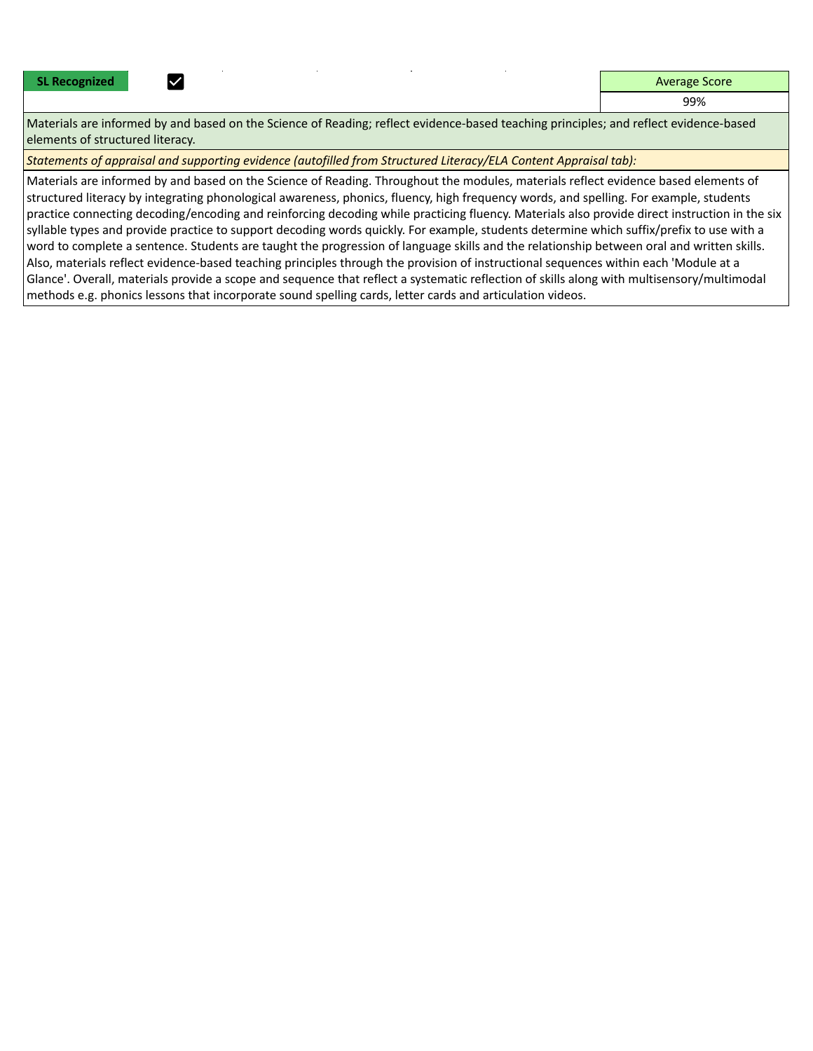|  |  | <b>SL Recognized</b> |
|--|--|----------------------|
|--|--|----------------------|

**SL Recognized Average Score Average Score** 

99%

Materials are informed by and based on the Science of Reading; reflect evidence-based teaching principles; and reflect evidence-based elements of structured literacy.

*Statements of appraisal and supporting evidence (autofilled from Structured Literacy/ELA Content Appraisal tab):* 

Materials are informed by and based on the Science of Reading. Throughout the modules, materials reflect evidence based elements of structured literacy by integrating phonological awareness, phonics, fluency, high frequency words, and spelling. For example, students practice connecting decoding/encoding and reinforcing decoding while practicing fluency. Materials also provide direct instruction in the six syllable types and provide practice to support decoding words quickly. For example, students determine which suffix/prefix to use with a word to complete a sentence. Students are taught the progression of language skills and the relationship between oral and written skills. Also, materials reflect evidence-based teaching principles through the provision of instructional sequences within each 'Module at a Glance'. Overall, materials provide a scope and sequence that reflect a systematic reflection of skills along with multisensory/multimodal methods e.g. phonics lessons that incorporate sound spelling cards, letter cards and articulation videos.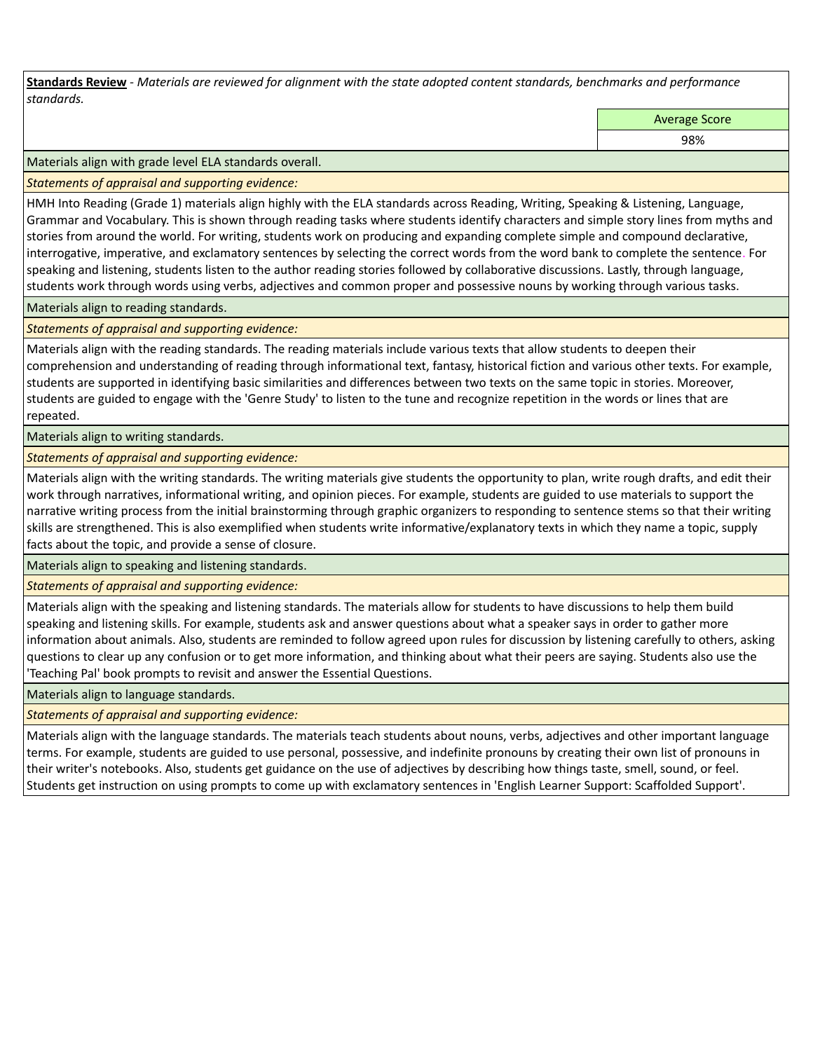**Standards Review** *- Materials are reviewed for alignment with the state adopted content standards, benchmarks and performance standards.*

Average Score

98%

Materials align with grade level ELA standards overall.

*Statements of appraisal and supporting evidence:* 

HMH Into Reading (Grade 1) materials align highly with the ELA standards across Reading, Writing, Speaking & Listening, Language, Grammar and Vocabulary. This is shown through reading tasks where students identify characters and simple story lines from myths and stories from around the world. For writing, students work on producing and expanding complete simple and compound declarative, interrogative, imperative, and exclamatory sentences by selecting the correct words from the word bank to complete the sentence. For speaking and listening, students listen to the author reading stories followed by collaborative discussions. Lastly, through language, students work through words using verbs, adjectives and common proper and possessive nouns by working through various tasks.

Materials align to reading standards.

*Statements of appraisal and supporting evidence:* 

Materials align with the reading standards. The reading materials include various texts that allow students to deepen their comprehension and understanding of reading through informational text, fantasy, historical fiction and various other texts. For example, students are supported in identifying basic similarities and differences between two texts on the same topic in stories. Moreover, students are guided to engage with the 'Genre Study' to listen to the tune and recognize repetition in the words or lines that are repeated.

Materials align to writing standards.

*Statements of appraisal and supporting evidence:* 

Materials align with the writing standards. The writing materials give students the opportunity to plan, write rough drafts, and edit their work through narratives, informational writing, and opinion pieces. For example, students are guided to use materials to support the narrative writing process from the initial brainstorming through graphic organizers to responding to sentence stems so that their writing skills are strengthened. This is also exemplified when students write informative/explanatory texts in which they name a topic, supply facts about the topic, and provide a sense of closure.

Materials align to speaking and listening standards.

*Statements of appraisal and supporting evidence:* 

Materials align with the speaking and listening standards. The materials allow for students to have discussions to help them build speaking and listening skills. For example, students ask and answer questions about what a speaker says in order to gather more information about animals. Also, students are reminded to follow agreed upon rules for discussion by listening carefully to others, asking questions to clear up any confusion or to get more information, and thinking about what their peers are saying. Students also use the 'Teaching Pal' book prompts to revisit and answer the Essential Questions.

Materials align to language standards.

*Statements of appraisal and supporting evidence:* 

Materials align with the language standards. The materials teach students about nouns, verbs, adjectives and other important language terms. For example, students are guided to use personal, possessive, and indefinite pronouns by creating their own list of pronouns in their writer's notebooks. Also, students get guidance on the use of adjectives by describing how things taste, smell, sound, or feel. Students get instruction on using prompts to come up with exclamatory sentences in 'English Learner Support: Scaffolded Support'.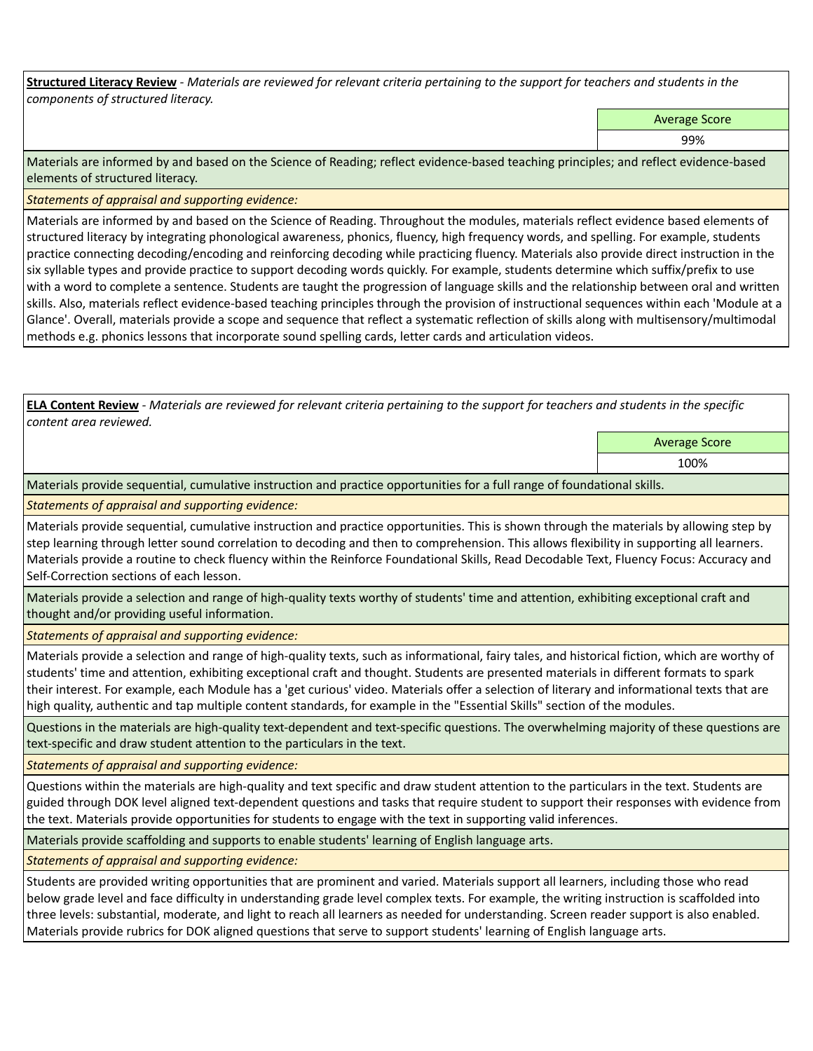**Structured Literacy Review** *- Materials are reviewed for relevant criteria pertaining to the support for teachers and students in the components of structured literacy.*

Average Score

99%

Materials are informed by and based on the Science of Reading; reflect evidence-based teaching principles; and reflect evidence-based elements of structured literacy.

*Statements of appraisal and supporting evidence:*

Materials are informed by and based on the Science of Reading. Throughout the modules, materials reflect evidence based elements of structured literacy by integrating phonological awareness, phonics, fluency, high frequency words, and spelling. For example, students practice connecting decoding/encoding and reinforcing decoding while practicing fluency. Materials also provide direct instruction in the six syllable types and provide practice to support decoding words quickly. For example, students determine which suffix/prefix to use with a word to complete a sentence. Students are taught the progression of language skills and the relationship between oral and written skills. Also, materials reflect evidence-based teaching principles through the provision of instructional sequences within each 'Module at a Glance'. Overall, materials provide a scope and sequence that reflect a systematic reflection of skills along with multisensory/multimodal methods e.g. phonics lessons that incorporate sound spelling cards, letter cards and articulation videos.

**ELA Content Review** *- Materials are reviewed for relevant criteria pertaining to the support for teachers and students in the specific content area reviewed.*

Average Score

100%

Materials provide sequential, cumulative instruction and practice opportunities for a full range of foundational skills.

*Statements of appraisal and supporting evidence:* 

Materials provide sequential, cumulative instruction and practice opportunities. This is shown through the materials by allowing step by step learning through letter sound correlation to decoding and then to comprehension. This allows flexibility in supporting all learners. Materials provide a routine to check fluency within the Reinforce Foundational Skills, Read Decodable Text, Fluency Focus: Accuracy and Self-Correction sections of each lesson.

Materials provide a selection and range of high-quality texts worthy of students' time and attention, exhibiting exceptional craft and thought and/or providing useful information.

*Statements of appraisal and supporting evidence:* 

Materials provide a selection and range of high-quality texts, such as informational, fairy tales, and historical fiction, which are worthy of students' time and attention, exhibiting exceptional craft and thought. Students are presented materials in different formats to spark their interest. For example, each Module has a 'get curious' video. Materials offer a selection of literary and informational texts that are high quality, authentic and tap multiple content standards, for example in the "Essential Skills" section of the modules.

Questions in the materials are high-quality text-dependent and text-specific questions. The overwhelming majority of these questions are text-specific and draw student attention to the particulars in the text.

*Statements of appraisal and supporting evidence:* 

Questions within the materials are high-quality and text specific and draw student attention to the particulars in the text. Students are guided through DOK level aligned text-dependent questions and tasks that require student to support their responses with evidence from the text. Materials provide opportunities for students to engage with the text in supporting valid inferences.

Materials provide scaffolding and supports to enable students' learning of English language arts.

*Statements of appraisal and supporting evidence:* 

Students are provided writing opportunities that are prominent and varied. Materials support all learners, including those who read below grade level and face difficulty in understanding grade level complex texts. For example, the writing instruction is scaffolded into three levels: substantial, moderate, and light to reach all learners as needed for understanding. Screen reader support is also enabled. Materials provide rubrics for DOK aligned questions that serve to support students' learning of English language arts.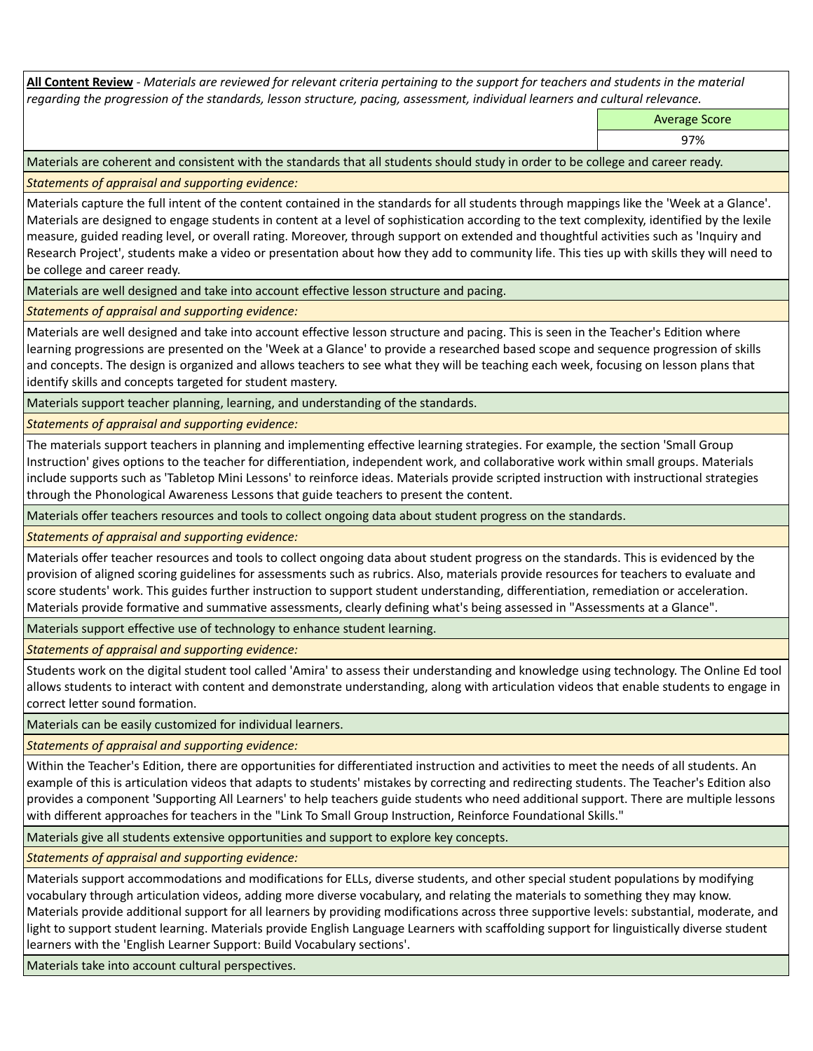**All Content Review** *- Materials are reviewed for relevant criteria pertaining to the support for teachers and students in the material regarding the progression of the standards, lesson structure, pacing, assessment, individual learners and cultural relevance.*

Average Score

97%

Materials are coherent and consistent with the standards that all students should study in order to be college and career ready.

*Statements of appraisal and supporting evidence:*

Materials capture the full intent of the content contained in the standards for all students through mappings like the 'Week at a Glance'. Materials are designed to engage students in content at a level of sophistication according to the text complexity, identified by the lexile measure, guided reading level, or overall rating. Moreover, through support on extended and thoughtful activities such as 'Inquiry and Research Project', students make a video or presentation about how they add to community life. This ties up with skills they will need to be college and career ready.

Materials are well designed and take into account effective lesson structure and pacing.

*Statements of appraisal and supporting evidence:*

Materials are well designed and take into account effective lesson structure and pacing. This is seen in the Teacher's Edition where learning progressions are presented on the 'Week at a Glance' to provide a researched based scope and sequence progression of skills and concepts. The design is organized and allows teachers to see what they will be teaching each week, focusing on lesson plans that identify skills and concepts targeted for student mastery.

Materials support teacher planning, learning, and understanding of the standards.

*Statements of appraisal and supporting evidence:*

The materials support teachers in planning and implementing effective learning strategies. For example, the section 'Small Group Instruction' gives options to the teacher for differentiation, independent work, and collaborative work within small groups. Materials include supports such as 'Tabletop Mini Lessons' to reinforce ideas. Materials provide scripted instruction with instructional strategies through the Phonological Awareness Lessons that guide teachers to present the content.

Materials offer teachers resources and tools to collect ongoing data about student progress on the standards.

*Statements of appraisal and supporting evidence:*

Materials offer teacher resources and tools to collect ongoing data about student progress on the standards. This is evidenced by the provision of aligned scoring guidelines for assessments such as rubrics. Also, materials provide resources for teachers to evaluate and score students' work. This guides further instruction to support student understanding, differentiation, remediation or acceleration. Materials provide formative and summative assessments, clearly defining what's being assessed in "Assessments at a Glance".

Materials support effective use of technology to enhance student learning.

*Statements of appraisal and supporting evidence:*

Students work on the digital student tool called 'Amira' to assess their understanding and knowledge using technology. The Online Ed tool allows students to interact with content and demonstrate understanding, along with articulation videos that enable students to engage in correct letter sound formation.

Materials can be easily customized for individual learners.

*Statements of appraisal and supporting evidence:* 

Within the Teacher's Edition, there are opportunities for differentiated instruction and activities to meet the needs of all students. An example of this is articulation videos that adapts to students' mistakes by correcting and redirecting students. The Teacher's Edition also provides a component 'Supporting All Learners' to help teachers guide students who need additional support. There are multiple lessons with different approaches for teachers in the "Link To Small Group Instruction, Reinforce Foundational Skills."

Materials give all students extensive opportunities and support to explore key concepts.

*Statements of appraisal and supporting evidence:*

Materials support accommodations and modifications for ELLs, diverse students, and other special student populations by modifying vocabulary through articulation videos, adding more diverse vocabulary, and relating the materials to something they may know. Materials provide additional support for all learners by providing modifications across three supportive levels: substantial, moderate, and light to support student learning. Materials provide English Language Learners with scaffolding support for linguistically diverse student learners with the 'English Learner Support: Build Vocabulary sections'.

Materials take into account cultural perspectives.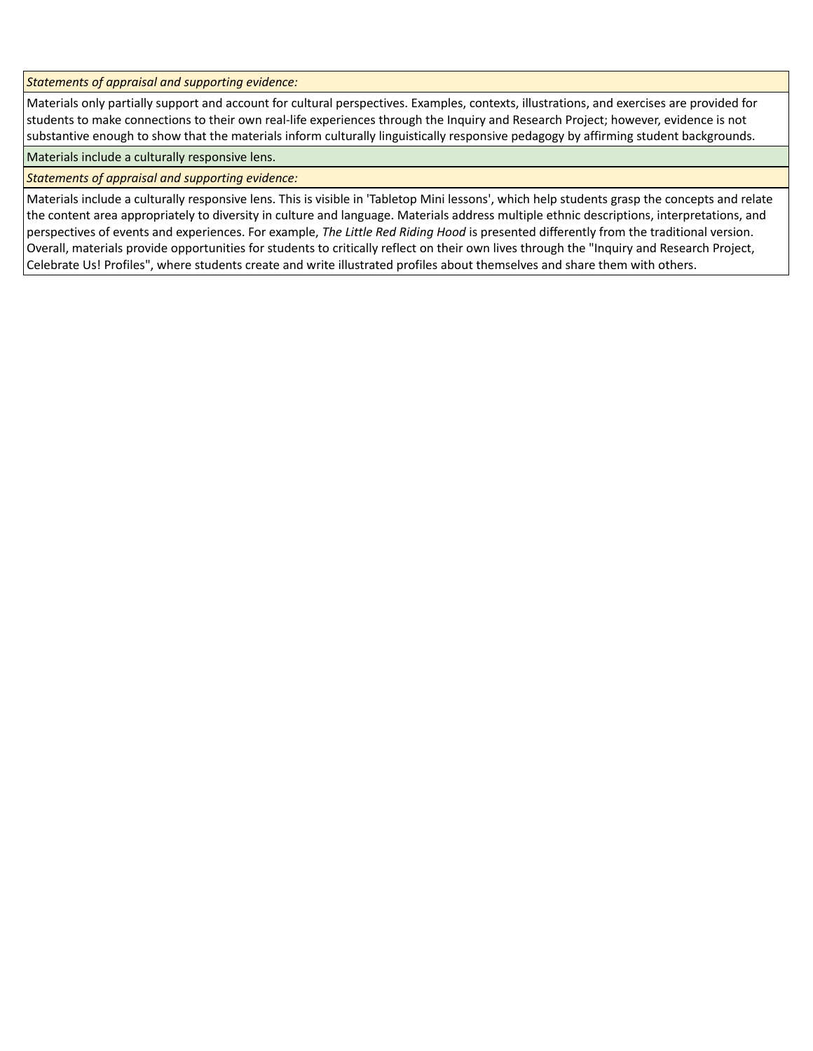*Statements of appraisal and supporting evidence:*

Materials only partially support and account for cultural perspectives. Examples, contexts, illustrations, and exercises are provided for students to make connections to their own real-life experiences through the Inquiry and Research Project; however, evidence is not substantive enough to show that the materials inform culturally linguistically responsive pedagogy by affirming student backgrounds.

Materials include a culturally responsive lens.

*Statements of appraisal and supporting evidence:*

Materials include a culturally responsive lens. This is visible in 'Tabletop Mini lessons', which help students grasp the concepts and relate the content area appropriately to diversity in culture and language. Materials address multiple ethnic descriptions, interpretations, and perspectives of events and experiences. For example, *The Little Red Riding Hood* is presented differently from the traditional version. Overall, materials provide opportunities for students to critically reflect on their own lives through the "Inquiry and Research Project, Celebrate Us! Profiles", where students create and write illustrated profiles about themselves and share them with others.